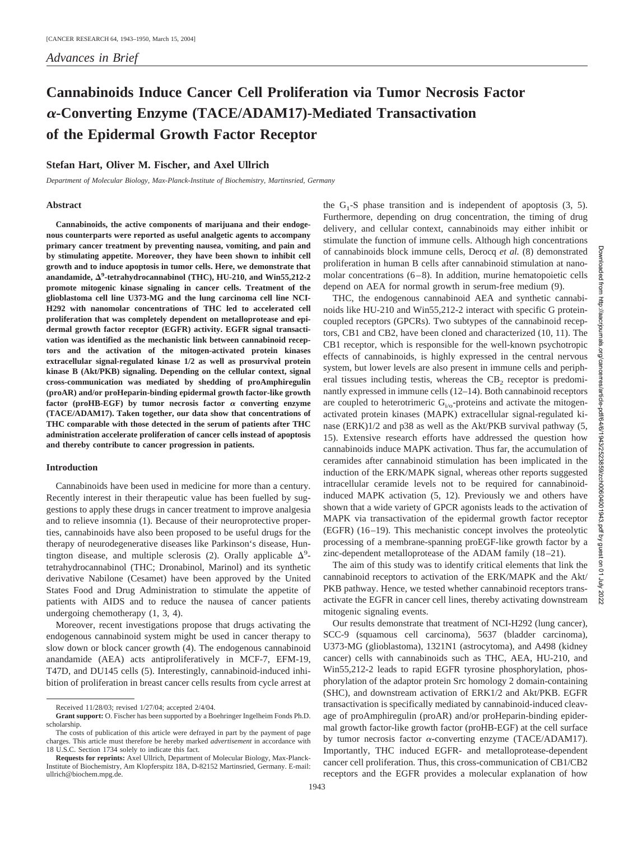# **Cannabinoids Induce Cancer Cell Proliferation via Tumor Necrosis Factor -Converting Enzyme (TACE/ADAM17)-Mediated Transactivation of the Epidermal Growth Factor Receptor**

# **Stefan Hart, Oliver M. Fischer, and Axel Ullrich**

*Department of Molecular Biology, Max-Planck-Institute of Biochemistry, Martinsried, Germany*

#### **Abstract**

**Cannabinoids, the active components of marijuana and their endogenous counterparts were reported as useful analgetic agents to accompany primary cancer treatment by preventing nausea, vomiting, and pain and by stimulating appetite. Moreover, they have been shown to inhibit cell growth and to induce apoptosis in tumor cells. Here, we demonstrate that** anandamide,  $\Delta^9$ -tetrahydrocannabinol (THC), HU-210, and Win55,212-2 **promote mitogenic kinase signaling in cancer cells. Treatment of the glioblastoma cell line U373-MG and the lung carcinoma cell line NCI-H292 with nanomolar concentrations of THC led to accelerated cell proliferation that was completely dependent on metalloprotease and epidermal growth factor receptor (EGFR) activity. EGFR signal transactivation was identified as the mechanistic link between cannabinoid receptors and the activation of the mitogen-activated protein kinases extracellular signal-regulated kinase 1/2 as well as prosurvival protein kinase B (Akt/PKB) signaling. Depending on the cellular context, signal cross-communication was mediated by shedding of proAmphiregulin (proAR) and/or proHeparin-binding epidermal growth factor-like growth** factor (proHB-EGF) by tumor necrosis factor  $\alpha$  converting enzyme **(TACE/ADAM17). Taken together, our data show that concentrations of THC comparable with those detected in the serum of patients after THC administration accelerate proliferation of cancer cells instead of apoptosis and thereby contribute to cancer progression in patients.**

#### **Introduction**

Cannabinoids have been used in medicine for more than a century. Recently interest in their therapeutic value has been fuelled by suggestions to apply these drugs in cancer treatment to improve analgesia and to relieve insomnia (1). Because of their neuroprotective properties, cannabinoids have also been proposed to be useful drugs for the therapy of neurodegenerative diseases like Parkinson's disease, Huntington disease, and multiple sclerosis (2). Orally applicable  $\Delta^9$ tetrahydrocannabinol (THC; Dronabinol, Marinol) and its synthetic derivative Nabilone (Cesamet) have been approved by the United States Food and Drug Administration to stimulate the appetite of patients with AIDS and to reduce the nausea of cancer patients undergoing chemotherapy (1, 3, 4).

Moreover, recent investigations propose that drugs activating the endogenous cannabinoid system might be used in cancer therapy to slow down or block cancer growth (4). The endogenous cannabinoid anandamide (AEA) acts antiproliferatively in MCF-7, EFM-19, T47D, and DU145 cells (5). Interestingly, cannabinoid-induced inhibition of proliferation in breast cancer cells results from cycle arrest at the  $G_1$ -S phase transition and is independent of apoptosis  $(3, 5)$ . Furthermore, depending on drug concentration, the timing of drug delivery, and cellular context, cannabinoids may either inhibit or stimulate the function of immune cells. Although high concentrations of cannabinoids block immune cells, Derocq *et al.* (8) demonstrated proliferation in human B cells after cannabinoid stimulation at nanomolar concentrations (6–8). In addition, murine hematopoietic cells depend on AEA for normal growth in serum-free medium (9).

THC, the endogenous cannabinoid AEA and synthetic cannabinoids like HU-210 and Win55,212-2 interact with specific G proteincoupled receptors (GPCRs). Two subtypes of the cannabinoid receptors, CB1 and CB2, have been cloned and characterized (10, 11). The CB1 receptor, which is responsible for the well-known psychotropic effects of cannabinoids, is highly expressed in the central nervous system, but lower levels are also present in immune cells and peripheral tissues including testis, whereas the  $CB<sub>2</sub>$  receptor is predominantly expressed in immune cells (12–14). Both cannabinoid receptors are coupled to heterotrimeric  $G_{i/o}$ -proteins and activate the mitogenactivated protein kinases (MAPK) extracellular signal-regulated kinase (ERK)1/2 and p38 as well as the Akt/PKB survival pathway (5, 15). Extensive research efforts have addressed the question how cannabinoids induce MAPK activation. Thus far, the accumulation of ceramides after cannabinoid stimulation has been implicated in the induction of the ERK/MAPK signal, whereas other reports suggested intracellular ceramide levels not to be required for cannabinoidinduced MAPK activation (5, 12). Previously we and others have shown that a wide variety of GPCR agonists leads to the activation of MAPK via transactivation of the epidermal growth factor receptor (EGFR) (16–19). This mechanistic concept involves the proteolytic processing of a membrane-spanning proEGF-like growth factor by a zinc-dependent metalloprotease of the ADAM family (18–21).

The aim of this study was to identify critical elements that link the cannabinoid receptors to activation of the ERK/MAPK and the Akt/ PKB pathway. Hence, we tested whether cannabinoid receptors transactivate the EGFR in cancer cell lines, thereby activating downstream mitogenic signaling events.

Our results demonstrate that treatment of NCI-H292 (lung cancer), SCC-9 (squamous cell carcinoma), 5637 (bladder carcinoma), U373-MG (glioblastoma), 1321N1 (astrocytoma), and A498 (kidney cancer) cells with cannabinoids such as THC, AEA, HU-210, and Win55,212-2 leads to rapid EGFR tyrosine phosphorylation, phosphorylation of the adaptor protein Src homology 2 domain-containing (SHC), and downstream activation of ERK1/2 and Akt/PKB. EGFR transactivation is specifically mediated by cannabinoid-induced cleavage of proAmphiregulin (proAR) and/or proHeparin-binding epidermal growth factor-like growth factor (proHB-EGF) at the cell surface by tumor necrosis factor  $\alpha$ -converting enzyme (TACE/ADAM17). Importantly, THC induced EGFR- and metalloprotease-dependent cancer cell proliferation. Thus, this cross-communication of CB1/CB2 receptors and the EGFR provides a molecular explanation of how

Received 11/28/03; revised 1/27/04; accepted 2/4/04.

**Grant support:** O. Fischer has been supported by a Boehringer Ingelheim Fonds Ph.D. scholarship.

The costs of publication of this article were defrayed in part by the payment of page charges. This article must therefore be hereby marked *advertisement* in accordance with 18 U.S.C. Section 1734 solely to indicate this fact.

**Requests for reprints:** Axel Ullrich, Department of Molecular Biology, Max-Planck-Institute of Biochemistry, Am Klopferspitz 18A, D-82152 Martinsried, Germany. E-mail: ullrich@biochem.mpg.de.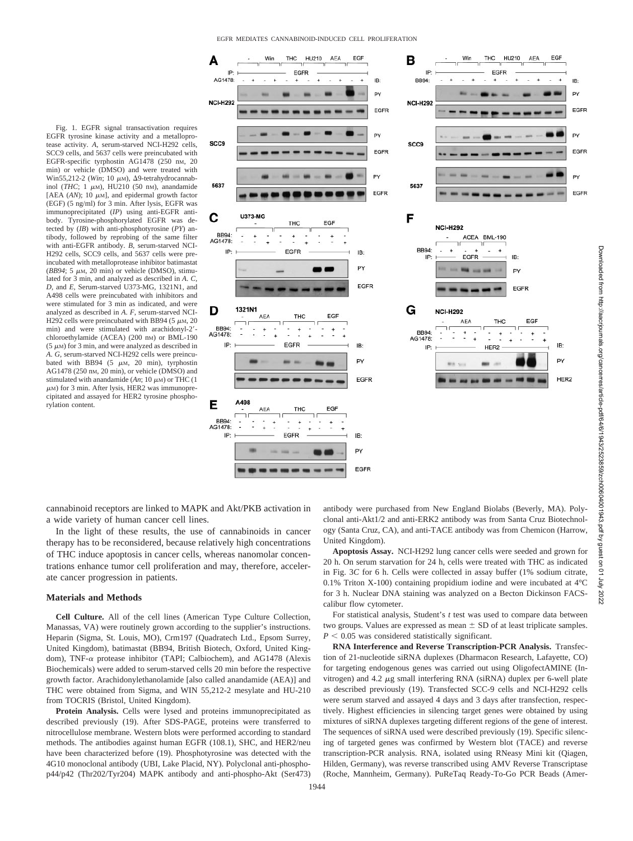EGFR MEDIATES CANNABINOID-INDUCED CELL PROLIFERATION HU210

AEA

EGE

THC

Win

Δ







cannabinoid receptors are linked to MAPK and Akt/PKB activation in a wide variety of human cancer cell lines.

In the light of these results, the use of cannabinoids in cancer therapy has to be reconsidered, because relatively high concentrations of THC induce apoptosis in cancer cells, whereas nanomolar concentrations enhance tumor cell proliferation and may, therefore, accelerate cancer progression in patients.

# **Materials and Methods**

**Cell Culture.** All of the cell lines (American Type Culture Collection, Manassas, VA) were routinely grown according to the supplier's instructions. Heparin (Sigma, St. Louis, MO), Crm197 (Quadratech Ltd., Epsom Surrey, United Kingdom), batimastat (BB94, British Biotech, Oxford, United Kingdom), TNF- $\alpha$  protease inhibitor (TAPI; Calbiochem), and AG1478 (Alexis Biochemicals) were added to serum-starved cells 20 min before the respective growth factor. Arachidonylethanolamide [also called anandamide (AEA)] and THC were obtained from Sigma, and WIN 55,212-2 mesylate and HU-210 from TOCRIS (Bristol, United Kingdom).

**Protein Analysis.** Cells were lysed and proteins immunoprecipitated as described previously (19). After SDS-PAGE, proteins were transferred to nitrocellulose membrane. Western blots were performed according to standard methods. The antibodies against human EGFR (108.1), SHC, and HER2/neu have been characterized before (19). Phosphotyrosine was detected with the 4G10 monoclonal antibody (UBI, Lake Placid, NY). Polyclonal anti-phosphop44/p42 (Thr202/Tyr204) MAPK antibody and anti-phospho-Akt (Ser473) antibody were purchased from New England Biolabs (Beverly, MA). Polyclonal anti-Akt1/2 and anti-ERK2 antibody was from Santa Cruz Biotechnology (Santa Cruz, CA), and anti-TACE antibody was from Chemicon (Harrow, United Kingdom).

**Apoptosis Assay.** NCI-H292 lung cancer cells were seeded and grown for 20 h. On serum starvation for 24 h, cells were treated with THC as indicated in Fig. 3*C* for 6 h. Cells were collected in assay buffer (1% sodium citrate, 0.1% Triton X-100) containing propidium iodine and were incubated at 4°C for 3 h. Nuclear DNA staining was analyzed on a Becton Dickinson FACScalibur flow cytometer.

For statistical analysis, Student's *t* test was used to compare data between two groups. Values are expressed as mean  $\pm$  SD of at least triplicate samples.  $P < 0.05$  was considered statistically significant.

**RNA Interference and Reverse Transcription-PCR Analysis.** Transfection of 21-nucleotide siRNA duplexes (Dharmacon Research, Lafayette, CO) for targeting endogenous genes was carried out using OligofectAMINE (Invitrogen) and  $4.2 \mu$ g small interfering RNA (siRNA) duplex per 6-well plate as described previously (19). Transfected SCC-9 cells and NCI-H292 cells were serum starved and assayed 4 days and 3 days after transfection, respectively. Highest efficiencies in silencing target genes were obtained by using mixtures of siRNA duplexes targeting different regions of the gene of interest. The sequences of siRNA used were described previously (19). Specific silencing of targeted genes was confirmed by Western blot (TACE) and reverse transcription-PCR analysis. RNA, isolated using RNeasy Mini kit (Qiagen, Hilden, Germany), was reverse transcribed using AMV Reverse Transcriptase (Roche, Mannheim, Germany). PuReTaq Ready-To-Go PCR Beads (Amer-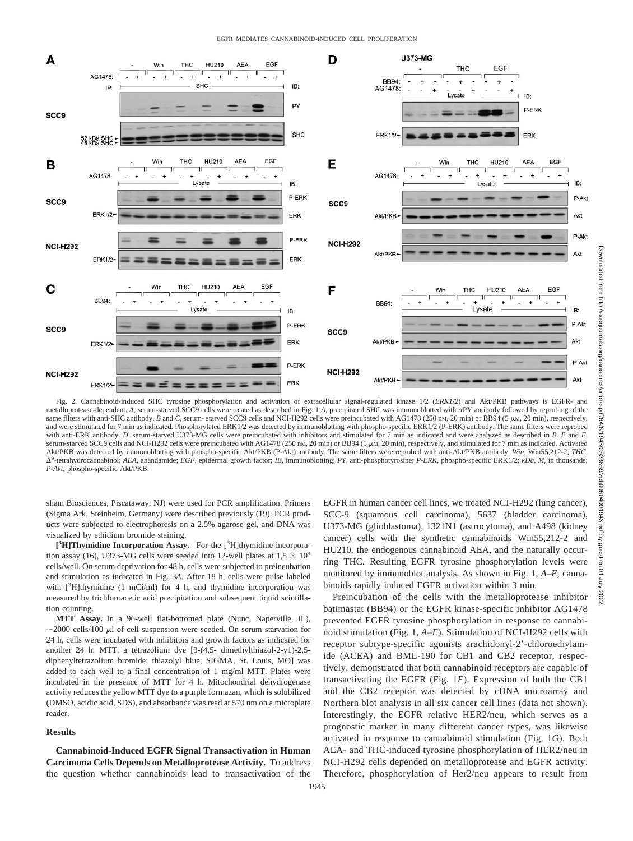

Fig. 2. Cannabinoid-induced SHC tyrosine phosphorylation and activation of extracellular signal-regulated kinase 1/2 (*ERK1/2*) and Akt/PKB pathways is EGFR- and metalloprotease-dependent. *A,* serum-starved SCC9 cells were treated as described in Fig. 1 *A,* precipitated SHC was immunoblotted with  $\alpha$ PY antibody followed by reprobing of the same filters with anti-SHC antibody. *B* and *C*, serum- starved SCC9 cells and NCI-H292 cells were preincubated with AG1478 (250 nm, 20 min) or BB94 (5  $\mu$ m, 20 min), respectively, and were stimulated for 7 min as indicated. Phosphorylated ERK1/2 was detected by immunoblotting with phospho-specific ERK1/2 (P-ERK) antibody. The same filters were reprobed with anti-ERK antibody. *D*, serum-starved U373-MG cells were preincubated with inhibitors and stimulated for 7 min as indicated and were analyzed as described in *B*. *E* and *F*, serum-starved SCC9 cells and NCI-H292 cells were preincubated with AG1478 (250 nm, 20 min) or BB94 (5  $\mu$ m, 20 min), respectively, and stimulated for 7 min as indicated. Activated Akt/PKB was detected by immunoblotting with phospho-specific Akt/PKB (P-Akt) antibody. The same filters were reprobed with anti-Akt/PKB antibody. *Win,* Win55,212-2; *THC,* 9 -tetrahydrocannabinol; *AEA,* anandamide; *EGF,* epidermal growth factor; *IB,* immunoblotting; *PY,* anti-phosphotyrosine; *P-ERK,* phospho-specific ERK1/2; *kDa, M*<sup>r</sup> in thousands; *P-Akt,* phospho-specific Akt/PKB.

sham Biosciences, Piscataway, NJ) were used for PCR amplification. Primers (Sigma Ark, Steinheim, Germany) were described previously (19). PCR products were subjected to electrophoresis on a 2.5% agarose gel, and DNA was visualized by ethidium bromide staining.

[<sup>3</sup>H]Thymidine Incorporation Assay. For the [<sup>3</sup>H]thymidine incorporation assay (16), U373-MG cells were seeded into 12-well plates at  $1.5 \times 10^4$ cells/well. On serum deprivation for 48 h, cells were subjected to preincubation and stimulation as indicated in Fig. 3*A*. After 18 h, cells were pulse labeled with [<sup>3</sup>H]thymidine (1 mCi/ml) for 4 h, and thymidine incorporation was measured by trichloroacetic acid precipitation and subsequent liquid scintillation counting.

**MTT Assay.** In a 96-well flat-bottomed plate (Nunc, Naperville, IL),  $\sim$ 2000 cells/100  $\mu$ l of cell suspension were seeded. On serum starvation for 24 h, cells were incubated with inhibitors and growth factors as indicated for another 24 h. MTT, a tetrazolium dye [3-(4,5- dimethylthiazol-2-y1)-2,5 diphenyltetrazolium bromide; thiazolyl blue, SIGMA, St. Louis, MO] was added to each well to a final concentration of 1 mg/ml MTT. Plates were incubated in the presence of MTT for 4 h. Mitochondrial dehydrogenase activity reduces the yellow MTT dye to a purple formazan, which is solubilized (DMSO, acidic acid, SDS), and absorbance was read at 570 nm on a microplate reader.

#### **Results**

**Cannabinoid-Induced EGFR Signal Transactivation in Human Carcinoma Cells Depends on Metalloprotease Activity.** To address the question whether cannabinoids lead to transactivation of the

EGFR in human cancer cell lines, we treated NCI-H292 (lung cancer), SCC-9 (squamous cell carcinoma), 5637 (bladder carcinoma), U373-MG (glioblastoma), 1321N1 (astrocytoma), and A498 (kidney cancer) cells with the synthetic cannabinoids Win55,212-2 and HU210, the endogenous cannabinoid AEA, and the naturally occurring THC. Resulting EGFR tyrosine phosphorylation levels were monitored by immunoblot analysis. As shown in Fig. 1, *A–E*, cannabinoids rapidly induced EGFR activation within 3 min.

Preincubation of the cells with the metalloprotease inhibitor batimastat (BB94) or the EGFR kinase-specific inhibitor AG1478 prevented EGFR tyrosine phosphorylation in response to cannabinoid stimulation (Fig. 1, *A–E*). Stimulation of NCI-H292 cells with receptor subtype-specific agonists arachidonyl-2'-chloroethylamide (ACEA) and BML-190 for CB1 and CB2 receptor, respectively, demonstrated that both cannabinoid receptors are capable of transactivating the EGFR (Fig. 1*F*). Expression of both the CB1 and the CB2 receptor was detected by cDNA microarray and Northern blot analysis in all six cancer cell lines (data not shown). Interestingly, the EGFR relative HER2/neu, which serves as a prognostic marker in many different cancer types, was likewise activated in response to cannabinoid stimulation (Fig. 1*G*). Both AEA- and THC-induced tyrosine phosphorylation of HER2/neu in NCI-H292 cells depended on metalloprotease and EGFR activity. Therefore, phosphorylation of Her2/neu appears to result from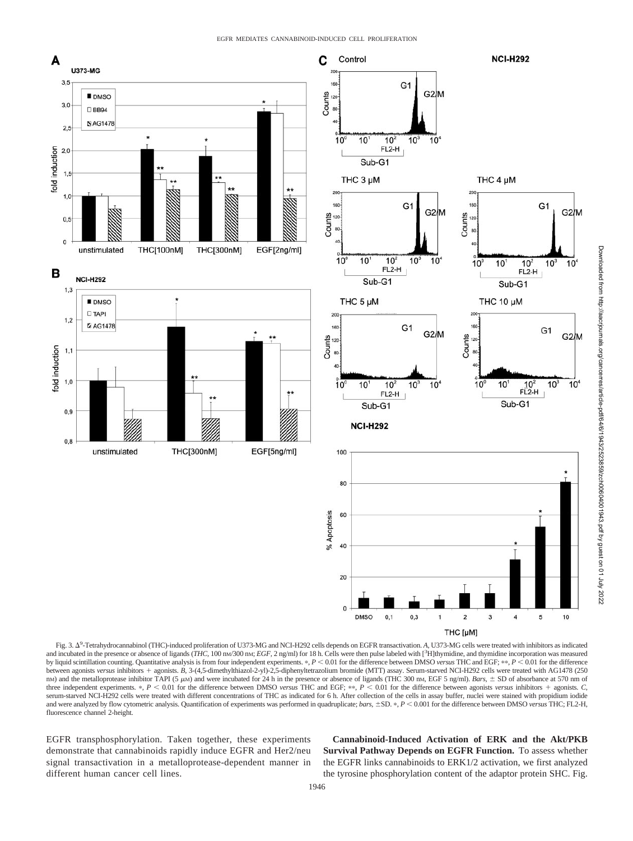

100

80

40

 $20$ 

 $\theta$ 

**DMSO** 

 $0,1$ 

 $0,3$ 

% Apoptosis 60

Fig. 3. <sup>9</sup> -Tetrahydrocannabinol (THC)-induced proliferation of U373-MG and NCI-H292 cells depends on EGFR transactivation. *A,* U373-MG cells were treated with inhibitors as indicated and incubated in the presence or absence of ligands (*THC*, 100 nm/300 nm; *EGF*, 2 ng/ml) for 18 h. Cells were then pulse labeled with [<sup>3</sup>H]thymidine, and thymidine incorporation was measured by liquid scintillation counting. Quantitative analysis is from four independent experiments. \*,  $P < 0.01$  for the difference between DMSO *versus* THC and EGF; \*\*,  $P < 0.01$  for the difference between agonists versus inhibitors + agonists.  $B$ , 3-(4,5-dimethylthiazol-2-yl)-2,5-diphenyltetrazolium bromide (MTT) assay. Serum-starved NCI-H292 cells were treated with AG1478 (250 nM) and the metalloprotease inhibitor TAPI (5  $\mu$ M) and were incubated for 24 h in the presence or absence of ligands (THC 300 nM, EGF 5 ng/ml). *Bars*,  $\pm$  SD of absorbance at 570 nm of three independent experiments. \* serum-starved NCI-H292 cells were treated with different concentrations of THC as indicated for 6 h. After collection of the cells in assay buffer, nuclei were stained with propidium iodide and were analyzed by flow cytometric analysis. Quantification of experiments was performed in quadruplicate; *bars*,  $\pm$ SD. \*, *P* < 0.001 for the difference between DMSO *versus* THC; FL2-H, fluorescence channel 2-height.

EGFR transphosphorylation. Taken together, these experiments demonstrate that cannabinoids rapidly induce EGFR and Her2/neu signal transactivation in a metalloprotease-dependent manner in different human cancer cell lines.

THC[300nM]

EGF[5ng/ml]

A

fold induction

в

fold induction

 $0,8$ 

unstimulated

**Cannabinoid-Induced Activation of ERK and the Akt/PKB Survival Pathway Depends on EGFR Function.** To assess whether the EGFR links cannabinoids to ERK1/2 activation, we first analyzed the tyrosine phosphorylation content of the adaptor protein SHC. Fig.

 $\overline{\mathbf{c}}$ 

THC [µM]

1

3

 $\sqrt{4}$ 

5

10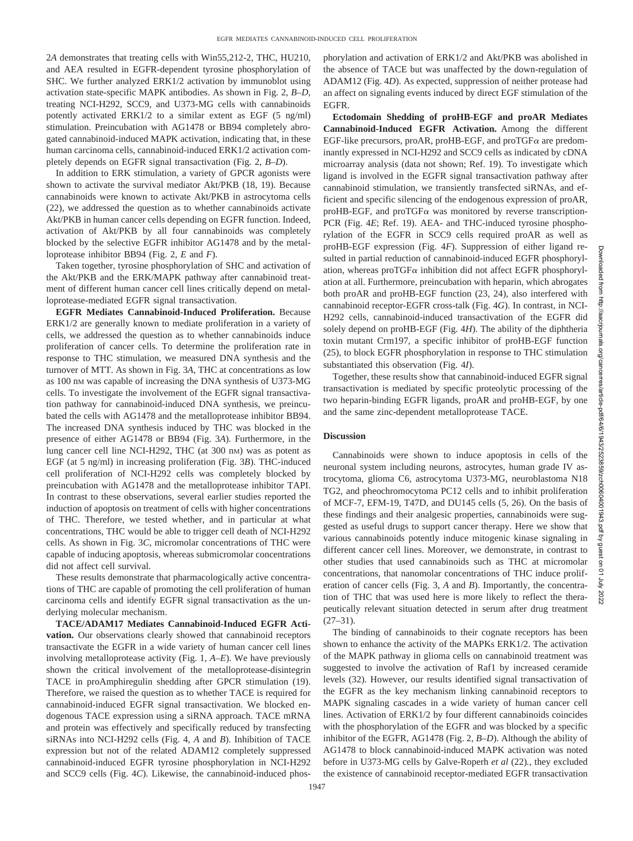2*A* demonstrates that treating cells with Win55,212-2, THC, HU210, and AEA resulted in EGFR-dependent tyrosine phosphorylation of SHC. We further analyzed ERK1/2 activation by immunoblot using activation state-specific MAPK antibodies. As shown in Fig. 2, *B–D*, treating NCI-H292, SCC9, and U373-MG cells with cannabinoids potently activated ERK1/2 to a similar extent as EGF (5 ng/ml) stimulation. Preincubation with AG1478 or BB94 completely abrogated cannabinoid-induced MAPK activation, indicating that, in these human carcinoma cells, cannabinoid-induced ERK1/2 activation completely depends on EGFR signal transactivation (Fig. 2, *B–D*).

In addition to ERK stimulation, a variety of GPCR agonists were shown to activate the survival mediator Akt/PKB (18, 19). Because cannabinoids were known to activate Akt/PKB in astrocytoma cells (22), we addressed the question as to whether cannabinoids activate Akt/PKB in human cancer cells depending on EGFR function. Indeed, activation of Akt/PKB by all four cannabinoids was completely blocked by the selective EGFR inhibitor AG1478 and by the metalloprotease inhibitor BB94 (Fig. 2, *E* and *F*).

Taken together, tyrosine phosphorylation of SHC and activation of the Akt/PKB and the ERK/MAPK pathway after cannabinoid treatment of different human cancer cell lines critically depend on metalloprotease-mediated EGFR signal transactivation.

**EGFR Mediates Cannabinoid-Induced Proliferation.** Because ERK1/2 are generally known to mediate proliferation in a variety of cells, we addressed the question as to whether cannabinoids induce proliferation of cancer cells. To determine the proliferation rate in response to THC stimulation, we measured DNA synthesis and the turnover of MTT. As shown in Fig. 3*A*, THC at concentrations as low as 100 nM was capable of increasing the DNA synthesis of U373-MG cells. To investigate the involvement of the EGFR signal transactivation pathway for cannabinoid-induced DNA synthesis, we preincubated the cells with AG1478 and the metalloprotease inhibitor BB94. The increased DNA synthesis induced by THC was blocked in the presence of either AG1478 or BB94 (Fig. 3*A*). Furthermore, in the lung cancer cell line NCI-H292, THC (at 300 nM) was as potent as EGF (at 5 ng/ml) in increasing proliferation (Fig. 3*B*). THC-induced cell proliferation of NCI-H292 cells was completely blocked by preincubation with AG1478 and the metalloprotease inhibitor TAPI. In contrast to these observations, several earlier studies reported the induction of apoptosis on treatment of cells with higher concentrations of THC. Therefore, we tested whether, and in particular at what concentrations, THC would be able to trigger cell death of NCI-H292 cells. As shown in Fig. 3*C*, micromolar concentrations of THC were capable of inducing apoptosis, whereas submicromolar concentrations did not affect cell survival.

These results demonstrate that pharmacologically active concentrations of THC are capable of promoting the cell proliferation of human carcinoma cells and identify EGFR signal transactivation as the underlying molecular mechanism.

**TACE/ADAM17 Mediates Cannabinoid-Induced EGFR Activation.** Our observations clearly showed that cannabinoid receptors transactivate the EGFR in a wide variety of human cancer cell lines involving metalloprotease activity (Fig. 1, *A–E*). We have previously shown the critical involvement of the metalloprotease-disintegrin TACE in proAmphiregulin shedding after GPCR stimulation (19). Therefore, we raised the question as to whether TACE is required for cannabinoid-induced EGFR signal transactivation. We blocked endogenous TACE expression using a siRNA approach. TACE mRNA and protein was effectively and specifically reduced by transfecting siRNAs into NCI-H292 cells (Fig. 4, *A* and *B*). Inhibition of TACE expression but not of the related ADAM12 completely suppressed cannabinoid-induced EGFR tyrosine phosphorylation in NCI-H292 and SCC9 cells (Fig. 4*C*). Likewise, the cannabinoid-induced phosphorylation and activation of ERK1/2 and Akt/PKB was abolished in the absence of TACE but was unaffected by the down-regulation of ADAM12 (Fig. 4*D*). As expected, suppression of neither protease had an affect on signaling events induced by direct EGF stimulation of the EGFR.

**Ectodomain Shedding of proHB-EGF and proAR Mediates Cannabinoid-Induced EGFR Activation.** Among the different EGF-like precursors, proAR, proHB-EGF, and proTGF $\alpha$  are predominantly expressed in NCI-H292 and SCC9 cells as indicated by cDNA microarray analysis (data not shown; Ref. 19). To investigate which ligand is involved in the EGFR signal transactivation pathway after cannabinoid stimulation, we transiently transfected siRNAs, and efficient and specific silencing of the endogenous expression of proAR, proHB-EGF, and proTGF $\alpha$  was monitored by reverse transcription-PCR (Fig. 4*E*; Ref. 19). AEA- and THC-induced tyrosine phosphorylation of the EGFR in SCC9 cells required proAR as well as proHB-EGF expression (Fig. 4*F*). Suppression of either ligand resulted in partial reduction of cannabinoid-induced EGFR phosphorylation, whereas proTGF $\alpha$  inhibition did not affect EGFR phosphorylation at all. Furthermore, preincubation with heparin, which abrogates both proAR and proHB-EGF function (23, 24), also interfered with cannabinoid receptor-EGFR cross-talk (Fig. 4*G*). In contrast, in NCI-H292 cells, cannabinoid-induced transactivation of the EGFR did solely depend on proHB-EGF (Fig. 4*H*). The ability of the diphtheria toxin mutant Crm197, a specific inhibitor of proHB-EGF function (25), to block EGFR phosphorylation in response to THC stimulation substantiated this observation (Fig. 4*I*).

Together, these results show that cannabinoid-induced EGFR signal transactivation is mediated by specific proteolytic processing of the two heparin-binding EGFR ligands, proAR and proHB-EGF, by one and the same zinc-dependent metalloprotease TACE.

## **Discussion**

Cannabinoids were shown to induce apoptosis in cells of the neuronal system including neurons, astrocytes, human grade IV astrocytoma, glioma C6, astrocytoma U373-MG, neuroblastoma N18 TG2, and pheochromocytoma PC12 cells and to inhibit proliferation of MCF-7, EFM-19, T47D, and DU145 cells (5, 26). On the basis of these findings and their analgesic properties, cannabinoids were suggested as useful drugs to support cancer therapy. Here we show that various cannabinoids potently induce mitogenic kinase signaling in different cancer cell lines. Moreover, we demonstrate, in contrast to other studies that used cannabinoids such as THC at micromolar concentrations, that nanomolar concentrations of THC induce proliferation of cancer cells (Fig. 3, *A* and *B*). Importantly, the concentration of THC that was used here is more likely to reflect the therapeutically relevant situation detected in serum after drug treatment  $(27-31)$ .

The binding of cannabinoids to their cognate receptors has been shown to enhance the activity of the MAPKs ERK1/2. The activation of the MAPK pathway in glioma cells on cannabinoid treatment was suggested to involve the activation of Raf1 by increased ceramide levels (32). However, our results identified signal transactivation of the EGFR as the key mechanism linking cannabinoid receptors to MAPK signaling cascades in a wide variety of human cancer cell lines. Activation of ERK1/2 by four different cannabinoids coincides with the phosphorylation of the EGFR and was blocked by a specific inhibitor of the EGFR, AG1478 (Fig. 2, *B–D*). Although the ability of AG1478 to block cannabinoid-induced MAPK activation was noted before in U373-MG cells by Galve-Roperh *et al* (22)*.,* they excluded the existence of cannabinoid receptor-mediated EGFR transactivation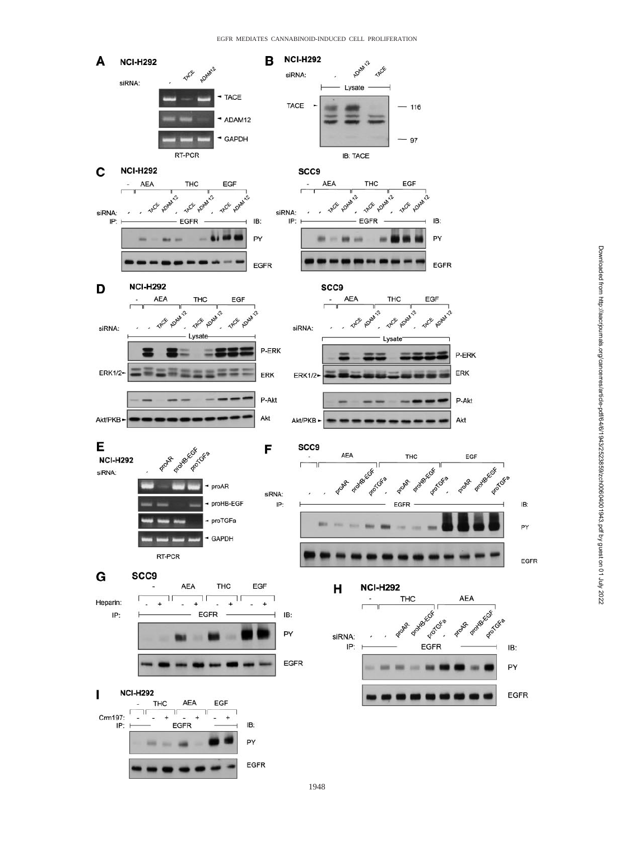

IB:

PY

EGFR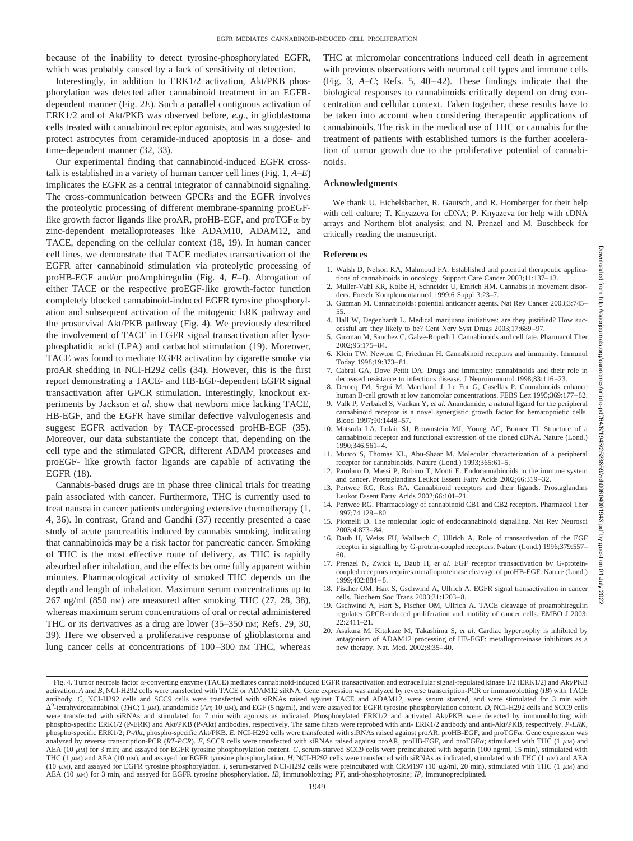because of the inability to detect tyrosine-phosphorylated EGFR, which was probably caused by a lack of sensitivity of detection.

Interestingly, in addition to ERK1/2 activation, Akt/PKB phosphorylation was detected after cannabinoid treatment in an EGFRdependent manner (Fig. 2*E*). Such a parallel contiguous activation of ERK1/2 and of Akt/PKB was observed before, *e.g.,* in glioblastoma cells treated with cannabinoid receptor agonists, and was suggested to protect astrocytes from ceramide-induced apoptosis in a dose- and time-dependent manner (32, 33).

Our experimental finding that cannabinoid-induced EGFR crosstalk is established in a variety of human cancer cell lines (Fig. 1, *A–E*) implicates the EGFR as a central integrator of cannabinoid signaling. The cross-communication between GPCRs and the EGFR involves the proteolytic processing of different membrane-spanning proEGFlike growth factor ligands like proAR, proHB-EGF, and proTGF $\alpha$  by zinc-dependent metalloproteases like ADAM10, ADAM12, and TACE, depending on the cellular context (18, 19). In human cancer cell lines, we demonstrate that TACE mediates transactivation of the EGFR after cannabinoid stimulation via proteolytic processing of proHB-EGF and/or proAmphiregulin (Fig. 4, *F–I*). Abrogation of either TACE or the respective proEGF-like growth-factor function completely blocked cannabinoid-induced EGFR tyrosine phosphorylation and subsequent activation of the mitogenic ERK pathway and the prosurvival Akt/PKB pathway (Fig. 4). We previously described the involvement of TACE in EGFR signal transactivation after lysophosphatidic acid (LPA) and carbachol stimulation (19). Moreover, TACE was found to mediate EGFR activation by cigarette smoke via proAR shedding in NCI-H292 cells (34). However, this is the first report demonstrating a TACE- and HB-EGF-dependent EGFR signal transactivation after GPCR stimulation. Interestingly, knockout experiments by Jackson *et al.* show that newborn mice lacking TACE, HB-EGF, and the EGFR have similar defective valvulogenesis and suggest EGFR activation by TACE-processed proHB-EGF (35). Moreover, our data substantiate the concept that, depending on the cell type and the stimulated GPCR, different ADAM proteases and proEGF- like growth factor ligands are capable of activating the EGFR (18).

Cannabis-based drugs are in phase three clinical trials for treating pain associated with cancer. Furthermore, THC is currently used to treat nausea in cancer patients undergoing extensive chemotherapy (1, 4, 36). In contrast, Grand and Gandhi (37) recently presented a case study of acute pancreatitis induced by cannabis smoking, indicating that cannabinoids may be a risk factor for pancreatic cancer. Smoking of THC is the most effective route of delivery, as THC is rapidly absorbed after inhalation, and the effects become fully apparent within minutes. Pharmacological activity of smoked THC depends on the depth and length of inhalation. Maximum serum concentrations up to 267 ng/ml (850 nM) are measured after smoking THC (27, 28, 38), whereas maximum serum concentrations of oral or rectal administered THC or its derivatives as a drug are lower (35–350 nM; Refs. 29, 30, 39). Here we observed a proliferative response of glioblastoma and lung cancer cells at concentrations of 100–300 nm THC, whereas THC at micromolar concentrations induced cell death in agreement with previous observations with neuronal cell types and immune cells (Fig. 3, *A–C*; Refs. 5, 40–42). These findings indicate that the biological responses to cannabinoids critically depend on drug concentration and cellular context. Taken together, these results have to be taken into account when considering therapeutic applications of cannabinoids. The risk in the medical use of THC or cannabis for the treatment of patients with established tumors is the further acceleration of tumor growth due to the proliferative potential of cannabinoids.

## **Acknowledgments**

We thank U. Eichelsbacher, R. Gautsch, and R. Hornberger for their help with cell culture; T. Knyazeva for cDNA; P. Knyazeva for help with cDNA arrays and Northern blot analysis; and N. Prenzel and M. Buschbeck for critically reading the manuscript.

#### **References**

- 1. Walsh D, Nelson KA, Mahmoud FA. Established and potential therapeutic applications of cannabinoids in oncology. Support Care Cancer 2003;11:137–43.
- 2. Muller-Vahl KR, Kolbe H, Schneider U, Emrich HM. Cannabis in movement disorders. Forsch Komplementarmed 1999;6 Suppl 3:23–7.
- 3. Guzman M. Cannabinoids: potential anticancer agents. Nat Rev Cancer 2003;3:745– 55.
- 4. Hall W, Degenhardt L. Medical marijuana initiatives: are they justified? How successful are they likely to be? Cent Nerv Syst Drugs 2003;17:689–97.
- 5. Guzman M, Sanchez C, Galve-Roperh I. Cannabinoids and cell fate. Pharmacol Ther 2002;95:175–84.
- 6. Klein TW, Newton C, Friedman H. Cannabinoid receptors and immunity. Immunol Today 1998;19:373–81.
- 7. Cabral GA, Dove Pettit DA. Drugs and immunity: cannabinoids and their role in decreased resistance to infectious disease. J Neuroimmunol 1998;83:116–23.
- 8. Derocq JM, Segui M, Marchand J, Le Fur G, Casellas P. Cannabinoids enhance human B-cell growth at low nanomolar concentrations. FEBS Lett 1995;369:177–82.
- 9. Valk P, Verbakel S, Vankan Y, *et al*. Anandamide, a natural ligand for the peripheral cannabinoid receptor is a novel synergistic growth factor for hematopoietic cells. Blood 1997;90:1448–57.
- 10. Matsuda LA, Lolait SJ, Brownstein MJ, Young AC, Bonner TI. Structure of a cannabinoid receptor and functional expression of the cloned cDNA. Nature (Lond.) 1990;346:561–4.
- 11. Munro S, Thomas KL, Abu-Shaar M. Molecular characterization of a peripheral receptor for cannabinoids. Nature (Lond.) 1993;365:61–5.
- 12. Parolaro D, Massi P, Rubino T, Monti E. Endocannabinoids in the immune system and cancer. Prostaglandins Leukot Essent Fatty Acids 2002;66:319–32.
- 13. Pertwee RG, Ross RA. Cannabinoid receptors and their ligands. Prostaglandins Leukot Essent Fatty Acids 2002;66:101–21.
- 14. Pertwee RG. Pharmacology of cannabinoid CB1 and CB2 receptors. Pharmacol Ther 1997;74:129–80.
- 15. Piomelli D. The molecular logic of endocannabinoid signalling. Nat Rev Neurosci 2003;4:873–84.
- 16. Daub H, Weiss FU, Wallasch C, Ullrich A. Role of transactivation of the EGF receptor in signalling by G-protein-coupled receptors. Nature (Lond.) 1996;379:557– 60.
- 17. Prenzel N, Zwick E, Daub H, *et al*. EGF receptor transactivation by G-proteincoupled receptors requires metalloproteinase cleavage of proHB-EGF. Nature (Lond.) 1999;402:884–8.
- 18. Fischer OM, Hart S, Gschwind A, Ullrich A. EGFR signal transactivation in cancer cells. Biochem Soc Trans 2003;31:1203–8.
- 19. Gschwind A, Hart S, Fischer OM, Ullrich A. TACE cleavage of proamphiregulin regulates GPCR-induced proliferation and motility of cancer cells. EMBO J 2003; 22:2411–21.
- 20. Asakura M, Kitakaze M, Takashima S, *et al*. Cardiac hypertrophy is inhibited by antagonism of ADAM12 processing of HB-EGF: metalloproteinase inhibitors as a new therapy. Nat. Med. 2002;8:35–40.

Fig. 4. Tumor necrosis factor  $\alpha$ -converting enzyme (TACE) mediates cannabinoid-induced EGFR transactivation and extracellular signal-regulated kinase 1/2 (ERK1/2) and Akt/PKB activation. *A* and *B*, NCI-H292 cells were transfected with TACE or ADAM12 siRNA. Gene expression was analyzed by reverse transcription-PCR or immunoblotting (*IB*) with TACE antibody. *C*, NCI-H292 cells and SCC9 cells were transfected with siRNAs raised against TACE and ADAM12, were serum starved, and were stimulated for 3 min with  $\Delta^9$ -tetrahydrocannabinol (*THC*; 1  $\mu$ M), anandamide (*An*; 10  $\mu$ M), and EGF (5 ng/ml), and were assayed for EGFR tyrosine phosphorylation content. *D*, NCI-H292 cells and SCC9 cells were transfected with siRNAs and stimulated for 7 min with agonists as indicated. Phosphorylated ERK1/2 and activated Akt/PKB were detected by immunoblotting with phospho-specific ERK1/2 (P-ERK) and Akt/PKB (P-Akt) antibodies, respectively. The same filters were reprobed with anti- ERK1/2 antibody and anti-Akt/PKB, respectively. *P-ERK,* phospho-specific ERK1/2; *P-Akt*, phospho-specific Akt/PKB. *E*, NCI-H292 cells were transfected with siRNAs raised against proAR, proHB-EGF, and proTGF $\alpha$ . Gene expression was analyzed by reverse transcription-PCR (RT-PCR). F, SCC9 cells were transfected with siRNAs raised against proAR, proHB-EGF, and proTGF $\alpha$ ; stimulated with THC (1  $\mu$ M) and AEA (10  $\mu$ M) for 3 min; and assayed for EGFR tyrosine phosphorylation content. *G*, serum-starved SCC9 cells were preincubated with heparin (100 ng/ml, 15 min), stimulated with THC (1  $\mu$ M) and AEA (10  $\mu$ M), and assayed for EGFR tyrosine phosphorylation. *H*, NCI-H292 cells were transfected with siRNAs as indicated, stimulated with THC (1  $\mu$ M) and AEA (10  $\mu$ m), and assayed for EGFR tyrosine phosphorylation. *I*, serum-starved NCI-H292 cells were preincubated with CRM197 (10  $\mu$ g/ml, 20 min), stimulated with THC (1  $\mu$ m) and AEA (10 μM) for 3 min, and assayed for EGFR tyrosine phosphorylation. *IB*, immunoblotting; *PY*, anti-phosphotyrosine; *IP*, immunoprecipitated.